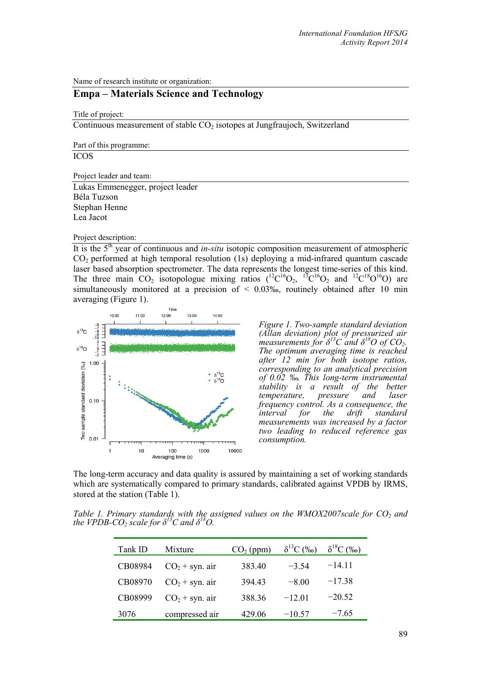Name of research institute or organization:

## **Empa – Materials Science and Technology**

Title of project:

Continuous measurement of stable  $CO<sub>2</sub>$  isotopes at Jungfraujoch, Switzerland

Part of this programme:

ICOS

Project leader and team:

Lukas Emmenegger, project leader Béla Tuzson Stephan Henne Lea Jacot

Project description:

It is the 5<sup>th</sup> year of continuous and *in-situ* isotopic composition measurement of atmospheric CO2 performed at high temporal resolution (1s) deploying a mid-infrared quantum cascade laser based absorption spectrometer. The data represents the longest time-series of this kind. The three main  $CO_2$  isotopologue mixing ratios  $(^{12}C^{16}O_2, ^{13}C^{16}O_2$  and  $^{12}C^{18}O^{16}O$ ) are simultaneously monitored at a precision of  $\leq 0.03\%$ , routinely obtained after 10 min averaging (Figure 1).



*Figure 1. Two-sample standard deviation (Allan deviation) plot of pressurized air measurements for δ<sup>13</sup>C and δ18O of CO2. The optimum averaging time is reached after 12 min for both isotope ratios, corresponding to an analytical precision of 0.02 ‰. This long-term instrumental stability is a result of the better temperature, pressure and laser frequency control. As a consequence, the interval for the drift standard measurements was increased by a factor two leading to reduced reference gas consumption.*

The long-term accuracy and data quality is assured by maintaining a set of working standards which are systematically compared to primary standards, calibrated against VPDB by IRMS, stored at the station (Table 1).

*Table 1. Primary standards with the assigned values on the WMOX2007scale for CO<sub>2</sub> and the VPDB-CO<sub>2</sub> scale for*  $\delta^{13}C$  *and*  $\delta^{18}O$ *.* 

| Tank ID | Mixture          | $CO2$ (ppm) | $\delta^{13}C$ (%o) | $\delta^{18}C$ (%o) |
|---------|------------------|-------------|---------------------|---------------------|
| CB08984 | $CO2 + syn.$ air | 383.40      | $-3,54$             | $-14.11$            |
| CB08970 | $CO2 + syn.$ air | 394.43      | $-8.00$             | $-17.38$            |
| CB08999 | $CO2 + syn.$ air | 388.36      | $-12.01$            | $-20.52$            |
| 3076    | compressed air   | 429.06      | $-10.57$            | $-7.65$             |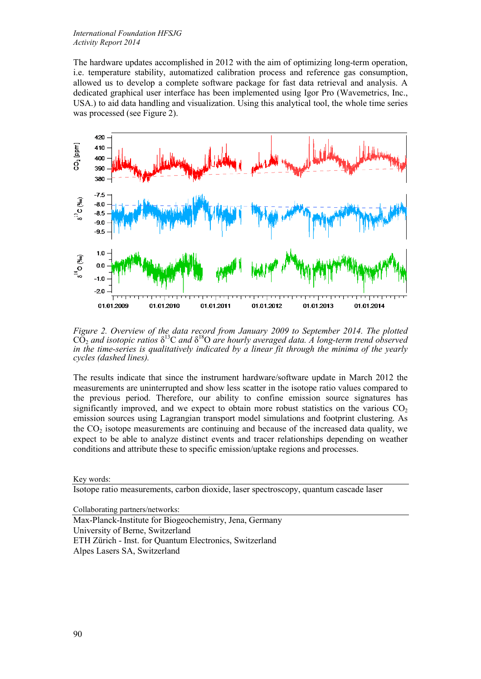## *International Foundation HFSJG Activity Report 2014*

The hardware updates accomplished in 2012 with the aim of optimizing long-term operation, i.e. temperature stability, automatized calibration process and reference gas consumption, allowed us to develop a complete software package for fast data retrieval and analysis. A dedicated graphical user interface has been implemented using Igor Pro (Wavemetrics, Inc., USA.) to aid data handling and visualization. Using this analytical tool, the whole time series was processed (see Figure 2).



*Figure 2. Overview of the data record from January 2009 to September 2014. The plotted*  CO2 *and isotopic ratios* δ13C *and* δ18O *are hourly averaged data. A long-term trend observed in the time-series is qualitatively indicated by a linear fit through the minima of the yearly cycles (dashed lines).*

The results indicate that since the instrument hardware/software update in March 2012 the measurements are uninterrupted and show less scatter in the isotope ratio values compared to the previous period. Therefore, our ability to confine emission source signatures has significantly improved, and we expect to obtain more robust statistics on the various  $CO<sub>2</sub>$ emission sources using Lagrangian transport model simulations and footprint clustering. As the  $CO<sub>2</sub>$  isotope measurements are continuing and because of the increased data quality, we expect to be able to analyze distinct events and tracer relationships depending on weather conditions and attribute these to specific emission/uptake regions and processes.

Key words:

Isotope ratio measurements, carbon dioxide, laser spectroscopy, quantum cascade laser

Collaborating partners/networks:

Max-Planck-Institute for Biogeochemistry, Jena, Germany University of Berne, Switzerland ETH Zürich - Inst. for Quantum Electronics, Switzerland Alpes Lasers SA, Switzerland